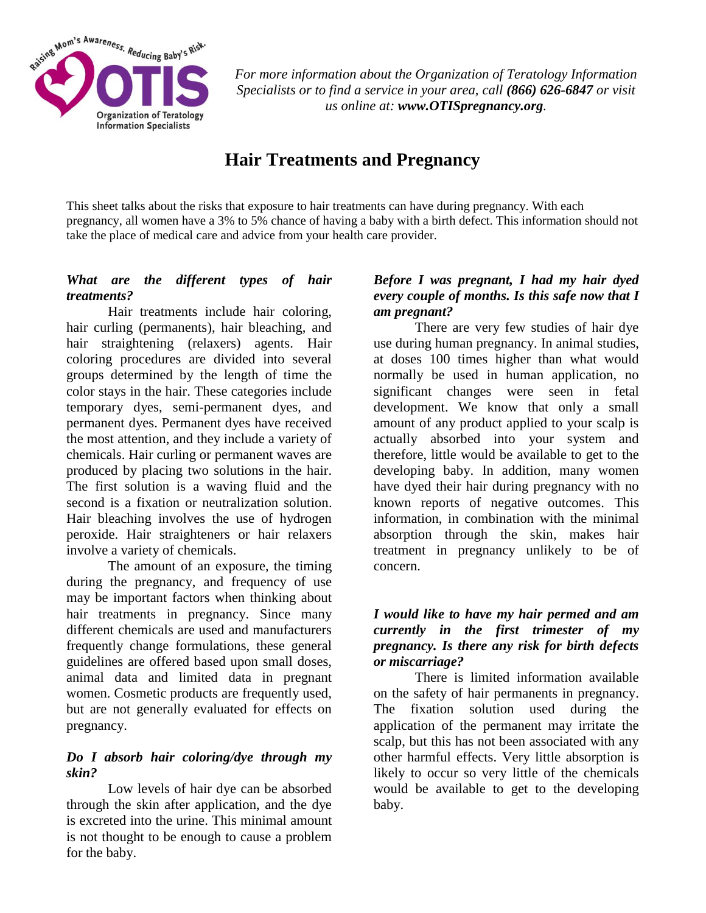

*For more information about the Organization of Teratology Information Specialists or to find a service in your area, call (866) 626-6847 or visit us online at: www.OTISpregnancy.org.*

# **Hair Treatments and Pregnancy**

This sheet talks about the risks that exposure to hair treatments can have during pregnancy. With each pregnancy, all women have a 3% to 5% chance of having a baby with a birth defect. This information should not take the place of medical care and advice from your health care provider.

# *What are the different types of hair treatments?*

Hair treatments include hair coloring, hair curling (permanents), hair bleaching, and hair straightening (relaxers) agents. Hair coloring procedures are divided into several groups determined by the length of time the color stays in the hair. These categories include temporary dyes, semi-permanent dyes, and permanent dyes. Permanent dyes have received the most attention, and they include a variety of chemicals. Hair curling or permanent waves are produced by placing two solutions in the hair. The first solution is a waving fluid and the second is a fixation or neutralization solution. Hair bleaching involves the use of hydrogen peroxide. Hair straighteners or hair relaxers involve a variety of chemicals.

The amount of an exposure, the timing during the pregnancy, and frequency of use may be important factors when thinking about hair treatments in pregnancy. Since many different chemicals are used and manufacturers frequently change formulations, these general guidelines are offered based upon small doses, animal data and limited data in pregnant women. Cosmetic products are frequently used, but are not generally evaluated for effects on pregnancy.

# *Do I absorb hair coloring/dye through my skin?*

Low levels of hair dye can be absorbed through the skin after application, and the dye is excreted into the urine. This minimal amount is not thought to be enough to cause a problem for the baby.

#### *Before I was pregnant, I had my hair dyed every couple of months. Is this safe now that I am pregnant?*

There are very few studies of hair dye use during human pregnancy. In animal studies, at doses 100 times higher than what would normally be used in human application, no significant changes were seen in fetal development. We know that only a small amount of any product applied to your scalp is actually absorbed into your system and therefore, little would be available to get to the developing baby. In addition, many women have dyed their hair during pregnancy with no known reports of negative outcomes. This information, in combination with the minimal absorption through the skin, makes hair treatment in pregnancy unlikely to be of concern.

# *I would like to have my hair permed and am currently in the first trimester of my pregnancy. Is there any risk for birth defects or miscarriage?*

There is limited information available on the safety of hair permanents in pregnancy. The fixation solution used during the application of the permanent may irritate the scalp, but this has not been associated with any other harmful effects. Very little absorption is likely to occur so very little of the chemicals would be available to get to the developing baby.